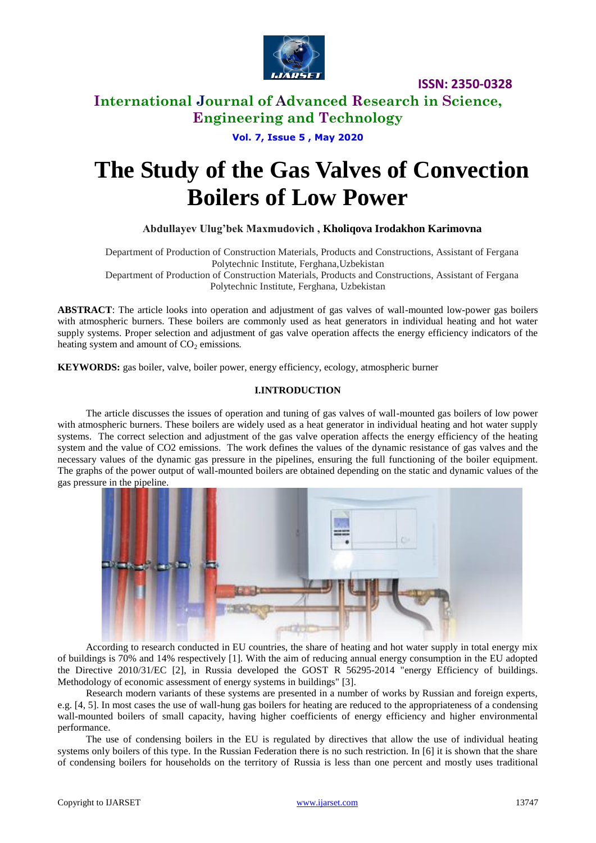

**ISSN: 2350-0328**

## **International Journal of Advanced Research in Science, Engineering and Technology**

**Vol. 7, Issue 5 , May 2020**

# **The Study of the Gas Valves of Convection Boilers of Low Power**

### **Abdullayev Ulug'bek Maxmudovich , Kholiqova Irodakhon Karimovna**

Department of Production of Construction Materials, Products and Constructions, Assistant of Fergana Polytechnic Institute, Ferghana,Uzbekistan Department of Production of Construction Materials, Products and Constructions, Assistant of Fergana Polytechnic Institute, Ferghana, Uzbekistan

**ABSTRACT**: The article looks into operation and adjustment of gas valves of wall-mounted low-power gas boilers with atmospheric burners. These boilers are commonly used as heat generators in individual heating and hot water supply systems. Proper selection and adjustment of gas valve operation affects the energy efficiency indicators of the heating system and amount of CO<sub>2</sub> emissions.

**KEYWORDS:** gas boiler, valve, boiler power, energy efficiency, ecology, atmospheric burner

#### **I.INTRODUCTION**

The article discusses the issues of operation and tuning of gas valves of wall-mounted gas boilers of low power with atmospheric burners. These boilers are widely used as a heat generator in individual heating and hot water supply systems. The correct selection and adjustment of the gas valve operation affects the energy efficiency of the heating system and the value of CO2 emissions. The work defines the values of the dynamic resistance of gas valves and the necessary values of the dynamic gas pressure in the pipelines, ensuring the full functioning of the boiler equipment. The graphs of the power output of wall-mounted boilers are obtained depending on the static and dynamic values of the gas pressure in the pipeline.



According to research conducted in EU countries, the share of heating and hot water supply in total energy mix of buildings is 70% and 14% respectively [1]. With the aim of reducing annual energy consumption in the EU adopted the Directive 2010/31/EC [2], in Russia developed the GOST R 56295-2014 "energy Efficiency of buildings. Methodology of economic assessment of energy systems in buildings" [3].

Research modern variants of these systems are presented in a number of works by Russian and foreign experts, e.g. [4, 5]. In most cases the use of wall-hung gas boilers for heating are reduced to the appropriateness of a condensing wall-mounted boilers of small capacity, having higher coefficients of energy efficiency and higher environmental performance.

The use of condensing boilers in the EU is regulated by directives that allow the use of individual heating systems only boilers of this type. In the Russian Federation there is no such restriction. In [6] it is shown that the share of condensing boilers for households on the territory of Russia is less than one percent and mostly uses traditional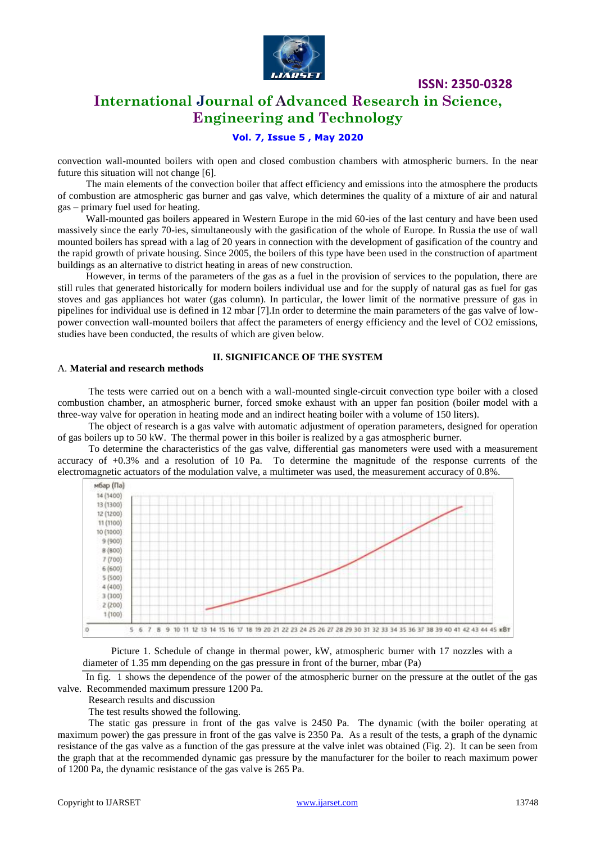

**ISSN: 2350-0328**

# **International Journal of Advanced Research in Science, Engineering and Technology**

### **Vol. 7, Issue 5 , May 2020**

convection wall-mounted boilers with open and closed combustion chambers with atmospheric burners. In the near future this situation will not change [6].

The main elements of the convection boiler that affect efficiency and emissions into the atmosphere the products of combustion are atmospheric gas burner and gas valve, which determines the quality of a mixture of air and natural gas – primary fuel used for heating.

Wall-mounted gas boilers appeared in Western Europe in the mid 60-ies of the last century and have been used massively since the early 70-ies, simultaneously with the gasification of the whole of Europe. In Russia the use of wall mounted boilers has spread with a lag of 20 years in connection with the development of gasification of the country and the rapid growth of private housing. Since 2005, the boilers of this type have been used in the construction of apartment buildings as an alternative to district heating in areas of new construction.

However, in terms of the parameters of the gas as a fuel in the provision of services to the population, there are still rules that generated historically for modern boilers individual use and for the supply of natural gas as fuel for gas stoves and gas appliances hot water (gas column). In particular, the lower limit of the normative pressure of gas in pipelines for individual use is defined in 12 mbar [7].In order to determine the main parameters of the gas valve of lowpower convection wall-mounted boilers that affect the parameters of energy efficiency and the level of CO2 emissions, studies have been conducted, the results of which are given below.

#### **II. SIGNIFICANCE OF THE SYSTEM**

#### A. **Material and research methods**

The tests were carried out on a bench with a wall-mounted single-circuit convection type boiler with a closed combustion chamber, an atmospheric burner, forced smoke exhaust with an upper fan position (boiler model with a three-way valve for operation in heating mode and an indirect heating boiler with a volume of 150 liters).

The object of research is a gas valve with automatic adjustment of operation parameters, designed for operation of gas boilers up to 50 kW. The thermal power in this boiler is realized by a gas atmospheric burner.

To determine the characteristics of the gas valve, differential gas manometers were used with a measurement accuracy of +0.3% and a resolution of 10 Pa. To determine the magnitude of the response currents of the electromagnetic actuators of the modulation valve, a multimeter was used, the measurement accuracy of 0.8%.





In fig. 1 shows the dependence of the power of the atmospheric burner on the pressure at the outlet of the gas valve. Recommended maximum pressure 1200 Pa.

Research results and discussion

The test results showed the following.

The static gas pressure in front of the gas valve is 2450 Pa. The dynamic (with the boiler operating at maximum power) the gas pressure in front of the gas valve is 2350 Pa. As a result of the tests, a graph of the dynamic resistance of the gas valve as a function of the gas pressure at the valve inlet was obtained (Fig. 2). It can be seen from the graph that at the recommended dynamic gas pressure by the manufacturer for the boiler to reach maximum power of 1200 Pa, the dynamic resistance of the gas valve is 265 Pa.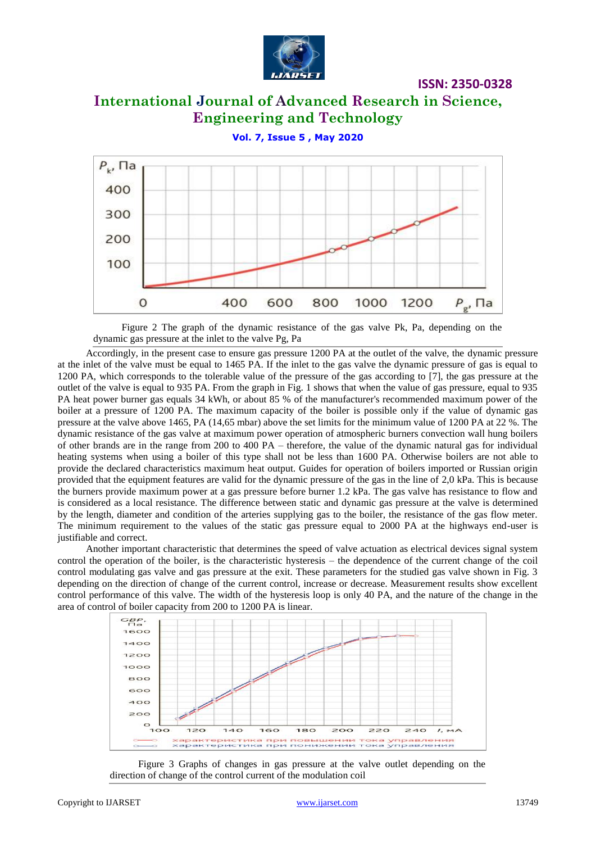

**ISSN: 2350-0328**

# **International Journal of Advanced Research in Science, Engineering and Technology**

**Vol. 7, Issue 5 , May 2020**



Figure 2 The graph of the dynamic resistance of the gas valve Pk, Pa, depending on the dynamic gas pressure at the inlet to the valve Pg, Pa

Accordingly, in the present case to ensure gas pressure 1200 PA at the outlet of the valve, the dynamic pressure at the inlet of the valve must be equal to 1465 PA. If the inlet to the gas valve the dynamic pressure of gas is equal to 1200 PA, which corresponds to the tolerable value of the pressure of the gas according to [7], the gas pressure at the outlet of the valve is equal to 935 PA. From the graph in Fig. 1 shows that when the value of gas pressure, equal to 935 PA heat power burner gas equals 34 kWh, or about 85 % of the manufacturer's recommended maximum power of the boiler at a pressure of 1200 PA. The maximum capacity of the boiler is possible only if the value of dynamic gas pressure at the valve above 1465, PA (14,65 mbar) above the set limits for the minimum value of 1200 PA at 22 %. The dynamic resistance of the gas valve at maximum power operation of atmospheric burners convection wall hung boilers of other brands are in the range from 200 to 400 PA – therefore, the value of the dynamic natural gas for individual heating systems when using a boiler of this type shall not be less than 1600 PA. Otherwise boilers are not able to provide the declared characteristics maximum heat output. Guides for operation of boilers imported or Russian origin provided that the equipment features are valid for the dynamic pressure of the gas in the line of 2,0 kPa. This is because the burners provide maximum power at a gas pressure before burner 1.2 kPa. The gas valve has resistance to flow and is considered as a local resistance. The difference between static and dynamic gas pressure at the valve is determined by the length, diameter and condition of the arteries supplying gas to the boiler, the resistance of the gas flow meter. The minimum requirement to the values of the static gas pressure equal to 2000 PA at the highways end-user is justifiable and correct.

Another important characteristic that determines the speed of valve actuation as electrical devices signal system control the operation of the boiler, is the characteristic hysteresis – the dependence of the current change of the coil control modulating gas valve and gas pressure at the exit. These parameters for the studied gas valve shown in Fig. 3 depending on the direction of change of the current control, increase or decrease. Measurement results show excellent control performance of this valve. The width of the hysteresis loop is only 40 PA, and the nature of the change in the area of control of boiler capacity from 200 to 1200 PA is linear.



Figure 3 Graphs of changes in gas pressure at the valve outlet depending on the direction of change of the control current of the modulation coil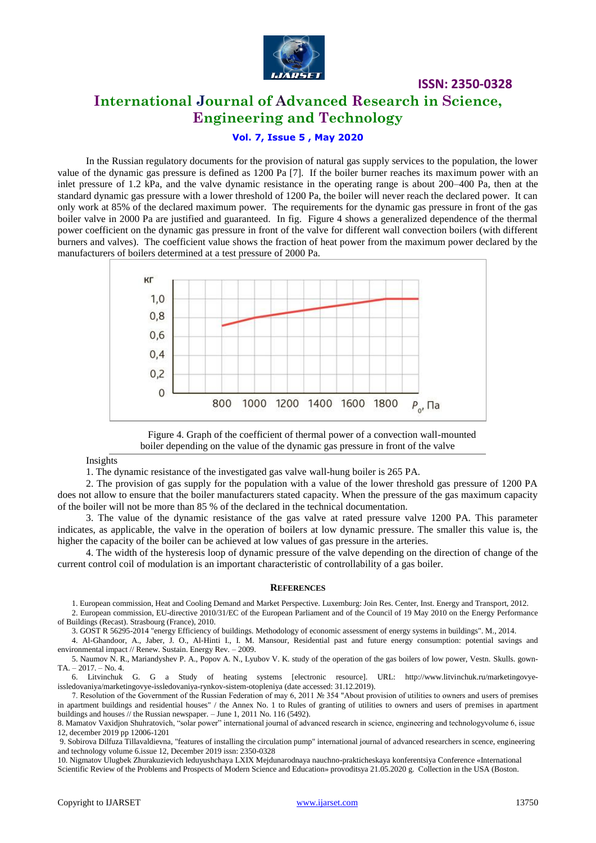

# **International Journal of Advanced Research in Science, Engineering and Technology**

**ISSN: 2350-0328**

### **Vol. 7, Issue 5 , May 2020**

In the Russian regulatory documents for the provision of natural gas supply services to the population, the lower value of the dynamic gas pressure is defined as 1200 Pa [7]. If the boiler burner reaches its maximum power with an inlet pressure of 1.2 kPa, and the valve dynamic resistance in the operating range is about 200–400 Pa, then at the standard dynamic gas pressure with a lower threshold of 1200 Pa, the boiler will never reach the declared power. It can only work at 85% of the declared maximum power. The requirements for the dynamic gas pressure in front of the gas boiler valve in 2000 Pa are justified and guaranteed. In fig. Figure 4 shows a generalized dependence of the thermal power coefficient on the dynamic gas pressure in front of the valve for different wall convection boilers (with different burners and valves). The coefficient value shows the fraction of heat power from the maximum power declared by the manufacturers of boilers determined at a test pressure of 2000 Pa.



Figure 4. Graph of the coefficient of thermal power of a convection wall-mounted boiler depending on the value of the dynamic gas pressure in front of the valve

#### Insights

1. The dynamic resistance of the investigated gas valve wall-hung boiler is 265 PA.

2. The provision of gas supply for the population with a value of the lower threshold gas pressure of 1200 PA does not allow to ensure that the boiler manufacturers stated capacity. When the pressure of the gas maximum capacity of the boiler will not be more than 85 % of the declared in the technical documentation.

3. The value of the dynamic resistance of the gas valve at rated pressure valve 1200 PA. This parameter indicates, as applicable, the valve in the operation of boilers at low dynamic pressure. The smaller this value is, the higher the capacity of the boiler can be achieved at low values of gas pressure in the arteries.

4. The width of the hysteresis loop of dynamic pressure of the valve depending on the direction of change of the current control coil of modulation is an important characteristic of controllability of a gas boiler.

#### **REFERENCES**

1. European commission, Heat and Cooling Demand and Market Perspective. Luxemburg: Join Res. Center, Inst. Energy and Transport, 2012.

2. European commission, EU-directive 2010/31/EC of the European Parliament and of the Council of 19 May 2010 on the Energy Performance of Buildings (Recast). Strasbourg (France), 2010.

3. GOST R 56295-2014 "energy Efficiency of buildings. Methodology of economic assessment of energy systems in buildings". M., 2014.

4. Al-Ghandoor, A., Jaber, J. O., Al-Hinti I., I. M. Mansour, Residential past and future energy consumption: potential savings and environmental impact // Renew. Sustain. Energy Rev. – 2009.

5. Naumov N. R., Mariandyshev P. A., Popov A. N., Lyubov V. K. study of the operation of the gas boilers of low power, Vestn. Skulls. gown-TA. – 2017. – No. 4.

6. Litvinchuk G. G a Study of heating systems [electronic resource]. URL: http://www.litvinchuk.ru/marketingovyeissledovaniya/marketingovye-issledovaniya-rynkov-sistem-otopleniya (date accessed: 31.12.2019).

7. Resolution of the Government of the Russian Federation of may 6, 2011 № 354 "About provision of utilities to owners and users of premises in apartment buildings and residential houses" / the Annex No. 1 to Rules of granting of utilities to owners and users of premises in apartment buildings and houses // the Russian newspaper. – June 1, 2011 No. 116 (5492).

8. Mamatov Vaxidjon Shuhratovich, "solar power" international journal of advanced research in science, engineering and technologyvolume 6, issue 12, december 2019 pp 12006-1201

9. Sobirova Dilfuza Tillavaldievna, "features of installing the circulation pump" international journal of advanced researchers in scence, engineering and technology volume 6.issue 12, December 2019 issn: 2350-0328

10. Nigmatov Ulugbek Zhurakuzievich leduyushchaya LXIX Mejdunarodnaya nauchno-prakticheskaya konferentsiya Conference «International Scientific Review of the Problems and Prospects of Modern Science and Education» provoditsya 21.05.2020 g. Collection in the USA (Boston.